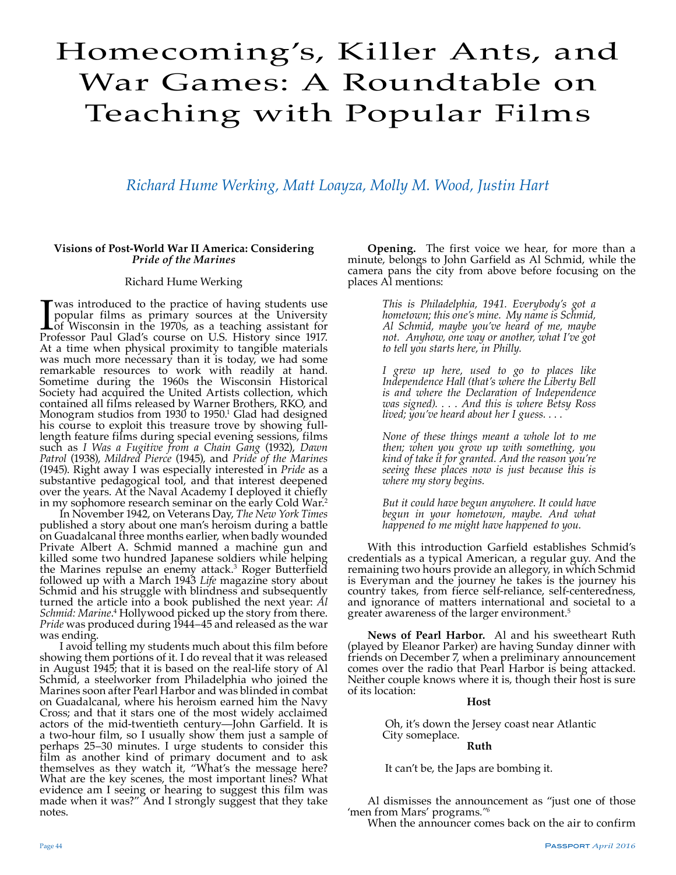# Homecoming's, Killer Ants, and War Games: A Roundtable on Teaching with Popular Films

# *Richard Hume Werking, Matt Loayza, Molly M. Wood, Justin Hart*

# **Visions of Post-World War II America: Considering**  *Pride of the Marines*

# Richard Hume Werking

I was introduced to the practice of having students use<br>popular films as primary sources at the University<br>of Wisconsin in the 1970s, as a teaching assistant for<br>Professor Paul Glad's course on U.S. History since 1917. popular films as primary sources at the University of Wisconsin in the 1970s, as a teaching assistant for Professor Paul Glad's course on U.S. History since 1917. At a time when physical proximity to tangible materials was much more necessary than it is today, we had some remarkable resources to work with readily at hand. Sometime during the 1960s the Wisconsin Historical Society had acquired the United Artists collection, which contained all films released by Warner Brothers, RKO, and Monogram studios from 1930 to 1950.<sup>1</sup> Glad had designed his course to exploit this treasure trove by showing fulllength feature films during special evening sessions, films such as *I Was a Fugitive from a Chain Gang* (1932), *Dawn Patrol* (1938), *Mildred Pierce* (1945), and *Pride of the Marines* (1945). Right away I was especially interested in *Pride* as a substantive pedagogical tool, and that interest deepened over the years. At the Naval Academy I deployed it chiefly in my sophomore research seminar on the early Cold War.<sup>2</sup>

In November 1942, on Veterans Day, *The New York Times* published a story about one man's heroism during a battle on Guadalcanal three months earlier, when badly wounded Private Albert A. Schmid manned a machine gun and killed some two hundred Japanese soldiers while helping the Marines repulse an enemy attack.3 Roger Butterfield followed up with a March 1943 *Life* magazine story about Schmid and his struggle with blindness and subsequently turned the article into a book published the next year: *Al*  Schmid: Marine.<sup>4</sup> Hollywood picked up the story from there. *Pride* was produced during 1944–45 and released as the war

was ending.<br>I avoid telling my students much about this film before showing them portions of it. I do reveal that it was released in August 1945; that it is based on the real-life story of Al Schmid, a steelworker from Philadelphia who joined the Marines soon after Pearl Harbor and was blinded in combat on Guadalcanal, where his heroism earned him the Navy Cross; and that it stars one of the most widely acclaimed actors of the mid-twentieth century—John Garfield. It is a two-hour film, so I usually show them just a sample of perhaps 25–30 minutes. I urge students to consider this film as another kind of primary document and to ask themselves as they watch it, "What's the message here? What are the key scenes, the most important lines? What evidence am I seeing or hearing to suggest this film was made when it was?" And I strongly suggest that they take notes.

**Opening.** The first voice we hear, for more than a minute, belongs to John Garfield as Al Schmid, while the camera pans the city from above before focusing on the places Al mentions:

> *This is Philadelphia, 1941. Everybody's got a hometown; this one's mine. My name is Schmid, Al Schmid, maybe you've heard of me, maybe not. Anyhow, one way or another, what I've got to tell you starts here, in Philly.*

> *I grew up here, used to go to places like Independence Hall (that's where the Liberty Bell is and where the Declaration of Independence was signed). . . . And this is where Betsy Ross lived; you've heard about her I guess. . . .*

> *None of these things meant a whole lot to me then; when you grow up with something, you kind of take it for granted. And the reason you're seeing these places now is just because this is where my story begins.*

> *But it could have begun anywhere. It could have begun in your hometown, maybe. And what happened to me might have happened to you.*

With this introduction Garfield establishes Schmid's credentials as a typical American, a regular guy. And the remaining two hours provide an allegory, in which Schmid is Everyman and the journey he takes is the journey his country takes, from fierce self-reliance, self-centeredness, and ignorance of matters international and societal to a greater awareness of the larger environment.5

**News of Pearl Harbor.** Al and his sweetheart Ruth (played by Eleanor Parker) are having Sunday dinner with friends on December 7, when a preliminary announcement comes over the radio that Pearl Harbor is being attacked. Neither couple knows where it is, though their host is sure of its location:

# **Host**

Oh, it's down the Jersey coast near Atlantic City someplace.

# **Ruth**

It can't be, the Japs are bombing it.

Al dismisses the announcement as "just one of those 'men from Mars' programs*."6*

When the announcer comes back on the air to confirm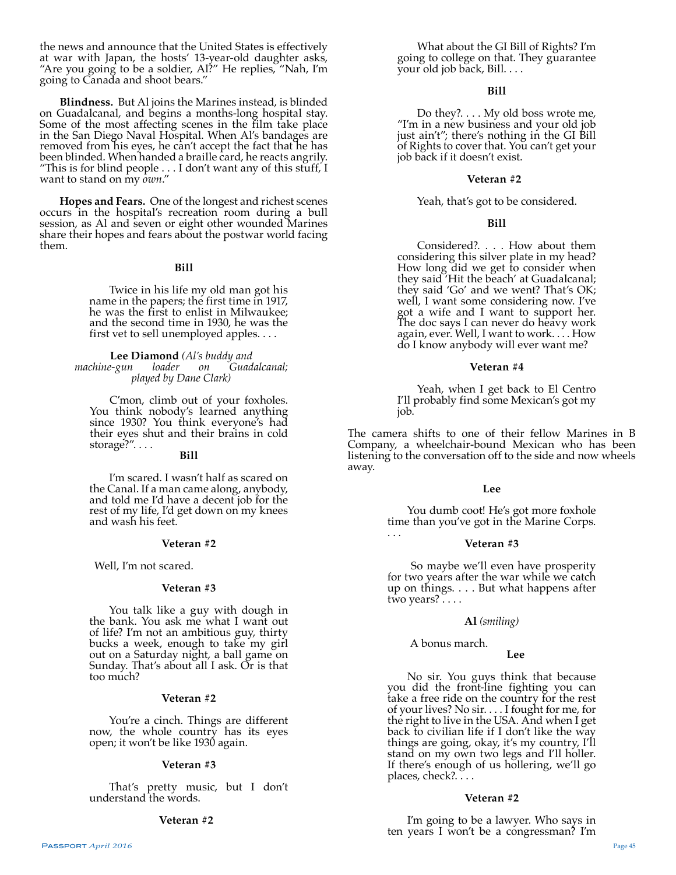the news and announce that the United States is effectively at war with Japan, the hosts' 13-year-old daughter asks, "Are you going to be a soldier, Al?" He replies, "Nah, I'm going to Canada and shoot bears."

**Blindness.** But Al joins the Marines instead, is blinded on Guadalcanal, and begins a months-long hospital stay. Some of the most affecting scenes in the film take place in the San Diego Naval Hospital. When Al's bandages are removed from his eyes, he can't accept the fact that he has been blinded. When handed a braille card, he reacts angrily. "This is for blind people . . . I don't want any of this stuff, I want to stand on my *own*."

**Hopes and Fears.** One of the longest and richest scenes occurs in the hospital's recreation room during a bull session, as Al and seven or eight other wounded Marines share their hopes and fears about the postwar world facing them.

# **Bill**

Twice in his life my old man got his name in the papers; the first time in 1917, he was the first to enlist in Milwaukee; and the second time in 1930, he was the first vet to sell unemployed apples. . . .

**Lee Diamond** *(Al's buddy and machine-gun loader on Guadalcanal; played by Dane Clark)*

C'mon, climb out of your foxholes. You think nobody's learned anything since 1930? You think everyone's had their eyes shut and their brains in cold storage?". . . .

# **Bill**

I'm scared. I wasn't half as scared on the Canal. If a man came along, anybody, and told me I'd have a decent job for the rest of my life, I'd get down on my knees and wash his feet.

#### **Veteran #2**

Well, I'm not scared.

# **Veteran #3**

You talk like a guy with dough in the bank. You ask me what I want out of life? I'm not an ambitious guy, thirty bucks a week, enough to take my girl out on a Saturday night, a ball game on Sunday. That's about all I ask. Or is that too much?

# **Veteran #2**

You're a cinch. Things are different now, the whole country has its eyes open; it won't be like 1930 again.

#### **Veteran #3**

That's pretty music, but I don't understand the words.

#### **Veteran #2**

What about the GI Bill of Rights? I'm going to college on that. They guarantee your old job back, Bill. . . .

# **Bill**

Do they?.... My old boss wrote me, "I'm in a new business and your old job just ain't"; there's nothing in the GI Bill of Rights to cover that. You can't get your job back if it doesn't exist.

#### **Veteran #2**

# Yeah, that's got to be considered.

# **Bill**

Considered?. . . . How about them considering this silver plate in my head? How long did we get to consider when they said 'Hit the beach' at Guadalcanal; they said 'Go' and we went? That's OK; well, I want some considering now. I've got a wife and I want to support her. The doc says I can never do heavy work again, ever. Well, I want to work. . . . How do I know anybody will ever want me?

#### **Veteran #4**

Yeah, when I get back to El Centro I'll probably find some Mexican's got my job.

The camera shifts to one of their fellow Marines in B Company, a wheelchair-bound Mexican who has been listening to the conversation off to the side and now wheels away.

#### **Lee**

You dumb coot! He's got more foxhole time than you've got in the Marine Corps.

# . . *.* **Veteran #3**

 So maybe we'll even have prosperity for two years after the war while we catch up on things. . . . But what happens after two years? . . . .

#### **Al** *(smiling)*

A bonus march.

# **Lee**

No sir. You guys think that because you did the front-line fighting you can take a free ride on the country for the rest of your lives? No sir. . . . I fought for me, for the right to live in the USA. And when I get back to civilian life if I don't like the way things are going, okay, it's my country, I'll stand on my own two legs and I'll holler. If there's enough of us hollering, we'll go places, check?...

#### **Veteran #2**

I'm going to be a lawyer. Who says in ten years I won't be a congressman? I'm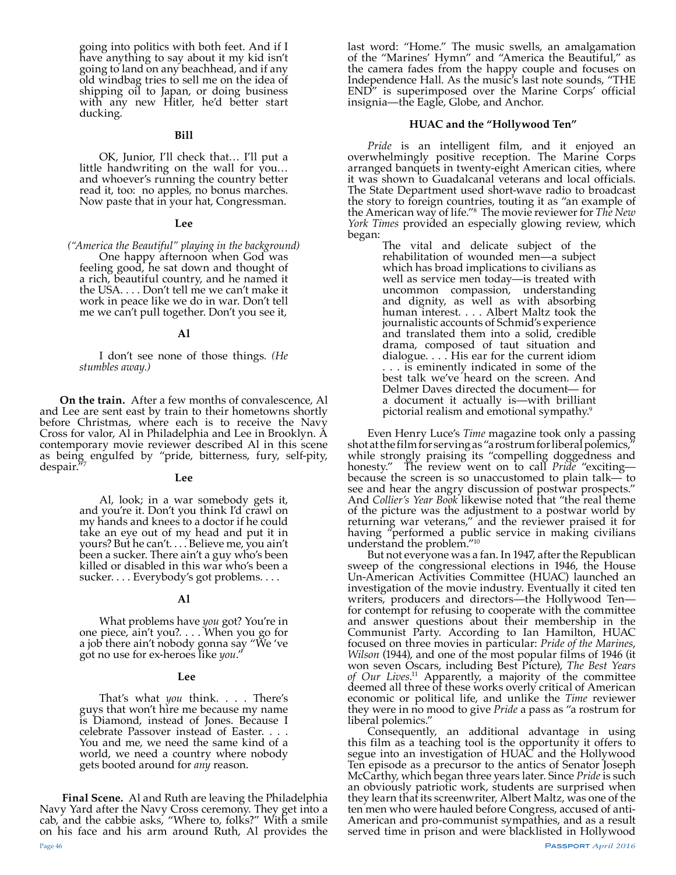going into politics with both feet. And if I have anything to say about it my kid isn't going to land on any beachhead, and if any old windbag tries to sell me on the idea of shipping oil to Japan, or doing business with any new Hitler, he'd better start ducking.

#### **Bill**

OK, Junior, I'll check that… I'll put a little handwriting on the wall for you… and whoever's running the country better read it, too: no apples, no bonus marches. Now paste that in your hat, Congressman.

#### **Lee**

*("America the Beautiful" playing in the background)* One happy afternoon when God was feeling good, he sat down and thought of a rich, beautiful country, and he named it the USA. . . . Don't tell me we can't make it work in peace like we do in war. Don't tell me we can't pull together. Don't you see it,

#### **Al**

I don't see none of those things*. (He stumbles away.)*

**On the train.** After a few months of convalescence, Al and Lee are sent east by train to their hometowns shortly before Christmas, where each is to receive the Navy Cross for valor, Al in Philadelphia and Lee in Brooklyn. A contemporary movie reviewer described Al in this scene as being engulfed by "pride, bitterness, fury, self-pity, despair.'

# **Lee**

Al, look; in a war somebody gets it, and you're it. Don't you think I'd crawl on my hands and knees to a doctor if he could take an eye out of my head and put it in yours? But he can't. . . . Believe me, you ain't been a sucker. There ain't a guy who's been killed or disabled in this war who's been a sucker. . . . Everybody's got problems. . . .

# **Al**

What problems have *you* got? You're in one piece, ain't you?. . . . When you go for a job there ain't nobody gonna say "We 've got no use for ex-heroes like *you*."

#### **Lee**

That's what *you* think. . . . There's guys that won't hire me because my name is Diamond, instead of Jones. Because I celebrate Passover instead of Easter. . . . You and me, we need the same kind of a world, we need a country where nobody gets booted around for *any* reason.

**Final Scene.** Al and Ruth are leaving the Philadelphia Navy Yard after the Navy Cross ceremony. They get into a cab, and the cabbie asks, "Where to, folks?" With a smile on his face and his arm around Ruth, Al provides the

last word: "Home." The music swells, an amalgamation of the "Marines' Hymn" and "America the Beautiful," as the camera fades from the happy couple and focuses on Independence Hall. As the music's last note sounds, "THE END" is superimposed over the Marine Corps' official insignia—the Eagle, Globe, and Anchor.

# **HUAC and the "Hollywood Ten"**

Ī

*Pride* is an intelligent film, and it enjoyed an overwhelmingly positive reception. The Marine Corps arranged banquets in twenty-eight American cities, where it was shown to Guadalcanal veterans and local officials. The State Department used short-wave radio to broadcast the story to foreign countries, touting it as "an example of the American way of life."8 The movie reviewer for *The New York Times* provided an especially glowing review, which began:

The vital and delicate subject of the rehabilitation of wounded men—a subject which has broad implications to civilians as well as service men today—is treated with uncommon compassion, understanding and dignity, as well as with absorbing human interest. . . . Albert Maltz took the journalistic accounts of Schmid's experience and translated them into a solid, credible drama, composed of taut situation and dialogue. . . . His ear for the current idiom . . . is eminently indicated in some of the best talk we've heard on the screen. And Delmer Daves directed the document— for a document it actually is—with brilliant pictorial realism and emotional sympathy.9

Even Henry Luce's *Time* magazine took only a passing shot at the film for serving as "a rostrum for liberal polemics," while strongly praising its "compelling doggedness and honesty." The review went on to call *Pride* "exciting because the screen is so unaccustomed to plain talk— to see and hear the angry discussion of postwar prospects." And *Collier's Year Book* likewise noted that "the real theme of the picture was the adjustment to a postwar world by returning war veterans," and the reviewer praised it for having "performed a public service in making civilians understand the problem."10

But not everyone was a fan. In 1947, after the Republican sweep of the congressional elections in 1946, the House Un-American Activities Committee (HUAC) launched an investigation of the movie industry. Eventually it cited ten writers, producers and directors—the Hollywood Ten for contempt for refusing to cooperate with the committee and answer questions about their membership in the Communist Party. According to Ian Hamilton, HUAC focused on three movies in particular: *Pride of the Marines*, *Wilson* (1944), and one of the most popular films of 1946 (it won seven Oscars, including Best Picture), *The Best Years of Our Lives*. 11 Apparently, a majority of the committee deemed all three of these works overly critical of American economic or political life, and unlike the *Time* reviewer they were in no mood to give *Pride* a pass as "a rostrum for liberal polemics."

Consequently, an additional advantage in using this film as a teaching tool is the opportunity it offers to segue into an investigation of HUAC and the Hollywood Ten episode as a precursor to the antics of Senator Joseph McCarthy, which began three years later. Since *Pride* is such an obviously patriotic work, students are surprised when they learn that its screenwriter, Albert Maltz, was one of the ten men who were hauled before Congress, accused of anti-American and pro-communist sympathies, and as a result served time in prison and were blacklisted in Hollywood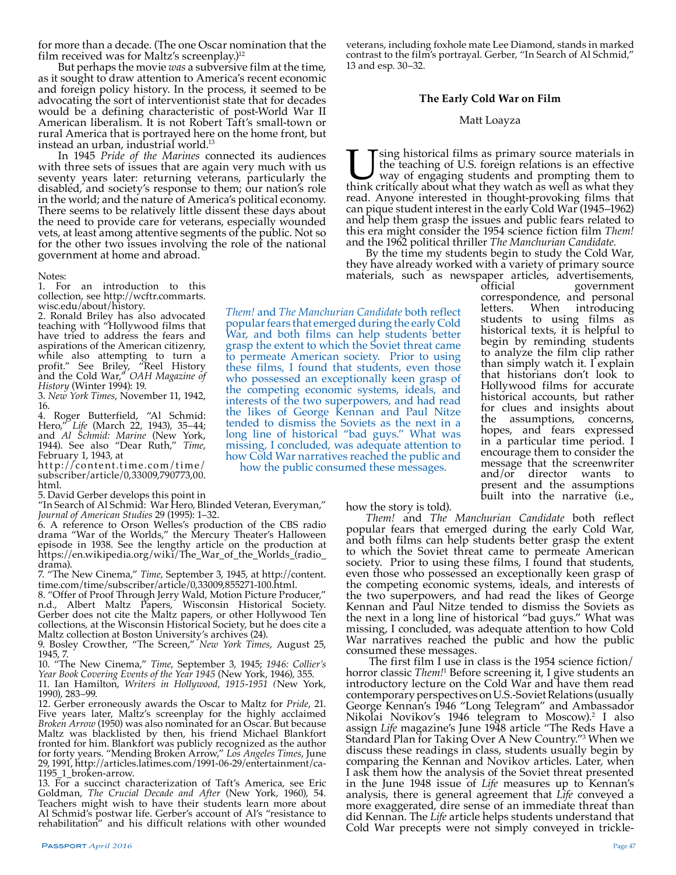for more than a decade. (The one Oscar nomination that the film received was for Maltz's screenplay.)<sup>12</sup>

But perhaps the movie *was* a subversive film at the time, as it sought to draw attention to America's recent economic and foreign policy history. In the process, it seemed to be advocating the sort of interventionist state that for decades would be a defining characteristic of post-World War II American liberalism. It is not Robert Taft's small-town or rural America that is portrayed here on the home front, but instead an urban, industrial world.13

In 1945 *Pride of the Marines* connected its audiences with three sets of issues that are again very much with us seventy years later: returning veterans, particularly the disabled, and society's response to them; our nation's role in the world; and the nature of America's political economy. There seems to be relatively little dissent these days about the need to provide care for veterans, especially wounded vets, at least among attentive segments of the public. Not so for the other two issues involving the role of the national government at home and abroad.

#### Notes:

1. For an introduction to this collection, see http://wcftr.commarts. wisc.edu/about/history.

2. Ronald Briley has also advocated teaching with "Hollywood films that have tried to address the fears and aspirations of the American citizenry, while also attempting to turn a profit." See Briley, "Reel History and the Cold War," *OAH Magazine of History* (Winter 1994): 19.

3. *New York Times*, November 11, 1942, 16.

4. Roger Butterfield, "Al Schmid: Hero," *Life* (March 22, 1943), 35–44; and *Al Schmid: Marine* (New York, 1944). See also "Dear Ruth," *Time*, February 1, 1943, at

http://content.time.com/time/ subscriber/article/0,33009,790773,00. html.

5. David Gerber develops this point in

"In Search of Al Schmid: War Hero, Blinded Veteran, Everyman," *Journal of American Studies* 29 (1995): 1–32.

6. A reference to Orson Welles's production of the CBS radio drama "War of the Worlds," the Mercury Theater's Halloween episode in 1938. See the lengthy article on the production at https://en.wikipedia.org/wiki/The\_War\_of\_the\_Worlds\_(radio\_ drama).

7. "The New Cinema," *Time,* September 3, 1945, at http://content. time.com/time/subscriber/article/0,33009,855271-100.html.

8. "Offer of Proof Through Jerry Wald, Motion Picture Producer," n.d., Albert Maltz Papers, Wisconsin Historical Society. Gerber does not cite the Maltz papers, or other Hollywood Ten collections, at the Wisconsin Historical Society, but he does cite a Maltz collection at Boston University's archives (24).

9. Bosley Crowther, "The Screen," *New York Times*, August 25, 1945, 7.

10. "The New Cinema," *Time*, September 3, 1945; *1946: Collier's Year Book Covering Events of the Year 1945* (New York, 1946), 355.

11. Ian Hamilton, *Writers in Hollywood, 1915-1951 (*New York, 1990), 283–99.

12. Gerber erroneously awards the Oscar to Maltz for *Pride*, 21. Five years later, Maltz's screenplay for the highly acclaimed *Broken Arrow* (1950) was also nominated for an Oscar. But because Maltz was blacklisted by then, his friend Michael Blankfort fronted for him. Blankfort was publicly recognized as the author for forty years. "Mending Broken Arrow," *Los Angeles Times*, June 29, 1991, http://articles.latimes.com/1991-06-29/entertainment/ca- 1195\_1\_broken-arrow. 13. For a succinct characterization of Taft's America, see Eric

Goldman, *The Crucial Decade and After* (New York, 1960), 54. Teachers might wish to have their students learn more about Al Schmid's postwar life. Gerber's account of Al's "resistance to rehabilitation" and his difficult relations with other wounded

veterans, including foxhole mate Lee Diamond, stands in marked contrast to the film's portrayal. Gerber, "In Search of Al Schmid," 13 and esp. 30–32.

#### **The Early Cold War on Film**

#### Matt Loayza

Using historical films as primary source materials in the teaching of U.S. foreign relations is an effective way of engaging students and prompting them to think critically about what they watch as well as what they the teaching of U.S. foreign relations is an effective way of engaging students and prompting them to think critically about what they watch as well as what they read. Anyone interested in thought-provoking films that can pique student interest in the early Cold War (1945–1962) and help them grasp the issues and public fears related to this era might consider the 1954 science fiction film *Them!* and the 1962 political thriller *The Manchurian Candidate.* 

By the time my students begin to study the Cold War, they have already worked with a variety of primary source materials, such as newspaper articles, advertisements,

government correspondence, and personal<br>letters. When introducing introducing students to using films as historical texts, it is helpful to begin by reminding students to analyze the film clip rather than simply watch it. I explain that historians don't look to Hollywood films for accurate historical accounts, but rather for clues and insights about the assumptions, concerns, hopes, and fears expressed in a particular time period. I encourage them to consider the message that the screenwriter and/or director wants to present and the assumptions built into the narrative (i.e., *Them!* and *The Manchurian Candidate* both reflect War, and both films can help students better grasp the extent to which the Soviet threat came to permeate American society. Prior to using these films, I found that students, even those who possessed an exceptionally keen grasp of interests of the two superpowers, and had read the likes of George Kennan and Paul Nitze tended to dismiss the Soviets as the next in a long line of historical "bad guys." What was missing, I concluded, was adequate attention to how Cold War narratives reached the public and

how the story is told).

popular fears that emerged during the early Cold

the competing economic systems, ideals, and

how the public consumed these messages.

*Them!* and *The Manchurian Candidate* both reflect popular fears that emerged during the early Cold War, and both films can help students better grasp the extent to which the Soviet threat came to permeate American society. Prior to using these films, I found that students, even those who possessed an exceptionally keen grasp of the competing economic systems, ideals, and interests of the two superpowers, and had read the likes of George Kennan and Paul Nitze tended to dismiss the Soviets as the next in a long line of historical "bad guys." What was missing, I concluded, was adequate attention to how Cold War narratives reached the public and how the public consumed these messages.

 The first film I use in class is the 1954 science fiction/ horror classic *Them!*<sup>1</sup> Before screening it, I give students an introductory lecture on the Cold War and have them read contemporary perspectives on U.S.-Soviet Relations (usually George Kennan's 1946 "Long Telegram" and Ambassador Nikolai Novikov's 1946 telegram to Moscow).2 I also assign *Life* magazine's June 1948 article "The Reds Have a Standard Plan for Taking Over A New Country."3 When we discuss these readings in class, students usually begin by comparing the Kennan and Novikov articles. Later, when I ask them how the analysis of the Soviet threat presented in the June 1948 issue of *Life* measures up to Kennan's analysis, there is general agreement that *Life* conveyed a more exaggerated, dire sense of an immediate threat than did Kennan. The *Life* article helps students understand that Cold War precepts were not simply conveyed in trickle-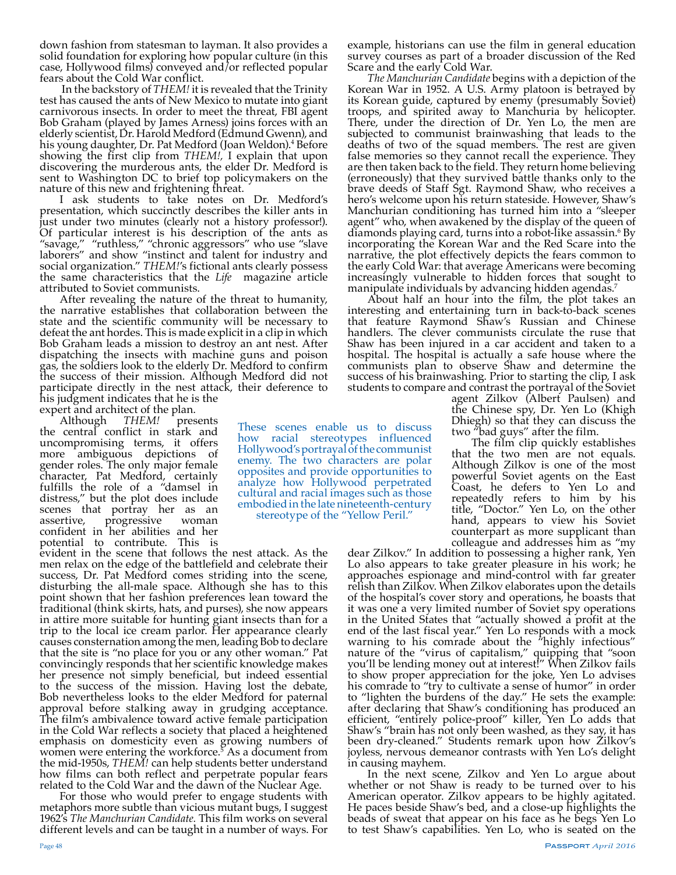down fashion from statesman to layman. It also provides a solid foundation for exploring how popular culture (in this case, Hollywood films) conveyed and/or reflected popular fears about the Cold War conflict.

 In the backstory of *THEM!* it is revealed that the Trinity test has caused the ants of New Mexico to mutate into giant carnivorous insects. In order to meet the threat, FBI agent Bob Graham (played by James Arness) joins forces with an elderly scientist, Dr. Harold Medford (Edmund Gwenn), and his young daughter, Dr. Pat Medford (Joan Weldon).<sup>4</sup> Before showing the first clip from *THEM!,* I explain that upon discovering the murderous ants, the elder Dr. Medford is sent to Washington DC to brief top policymakers on the nature of this new and frightening threat.

I ask students to take notes on Dr. Medford's presentation, which succinctly describes the killer ants in just under two minutes (clearly not a history professor!). Of particular interest is his description of the ants as "savage," "ruthless," "chronic aggressors" who use "slave laborers" and show "instinct and talent for industry and social organization." *THEM!'s* fictional ants clearly possess the same characteristics that the *Life* magazine article attributed to Soviet communists.

After revealing the nature of the threat to humanity, the narrative establishes that collaboration between the state and the scientific community will be necessary to defeat the ant hordes. This is made explicit in a clip in which Bob Graham leads a mission to destroy an ant nest. After dispatching the insects with machine guns and poison gas, the soldiers look to the elderly Dr. Medford to confirm the success of their mission. Although Medford did not participate directly in the nest attack, their deference to his judgment indicates that he is the

expert and architect of the plan.<br>Although *THEM!* pres

Although *THEM!* presents the central conflict in stark and uncompromising terms, it offers more ambiguous depictions of gender roles. The only major female character, Pat Medford, certainly fulfills the role of a "damsel in distress," but the plot does include scenes that portray her as an assertive, progressive woman progressive confident in her abilities and her potential to contribute. This is

evident in the scene that follows the nest attack. As the men relax on the edge of the battlefield and celebrate their success, Dr. Pat Medford comes striding into the scene, disturbing the all-male space. Although she has to this point shown that her fashion preferences lean toward the traditional (think skirts, hats, and purses), she now appears in attire more suitable for hunting giant insects than for a trip to the local ice cream parlor. Her appearance clearly causes consternation among the men, leading Bob to declare that the site is "no place for you or any other woman." Pat convincingly responds that her scientific knowledge makes her presence not simply beneficial, but indeed essential to the success of the mission. Having lost the debate, Bob nevertheless looks to the elder Medford for paternal approval before stalking away in grudging acceptance. The film's ambivalence toward active female participation in the Cold War reflects a society that placed a heightened emphasis on domesticity even as growing numbers of women were entering the workforce.<sup>5</sup> As a document from the mid-1950s, *THEM!* can help students better understand how films can both reflect and perpetrate popular fears related to the Cold War and the dawn of the Nuclear Age.

For those who would prefer to engage students with metaphors more subtle than vicious mutant bugs, I suggest 1962's *The Manchurian Candidate.* This film works on several different levels and can be taught in a number of ways. For

example, historians can use the film in general education survey courses as part of a broader discussion of the Red Scare and the early Cold War.

*The Manchurian Candidate* begins with a depiction of the Korean War in 1952. A U.S. Army platoon is betrayed by its Korean guide, captured by enemy (presumably Soviet) troops, and spirited away to Manchuria by helicopter. There, under the direction of Dr. Yen Lo, the men are subjected to communist brainwashing that leads to the deaths of two of the squad members. The rest are given false memories so they cannot recall the experience. They are then taken back to the field. They return home believing (erroneously) that they survived battle thanks only to the brave deeds of Staff Sgt. Raymond Shaw, who receives a hero's welcome upon his return stateside. However, Shaw's Manchurian conditioning has turned him into a "sleeper agent" who, when awakened by the display of the queen of diamonds playing card, turns into a robot-like assassin.6 By incorporating the Korean War and the Red Scare into the narrative, the plot effectively depicts the fears common to the early Cold War: that average Americans were becoming increasingly vulnerable to hidden forces that sought to manipulate individuals by advancing hidden agendas.<sup>7</sup>

About half an hour into the film, the plot takes an interesting and entertaining turn in back-to-back scenes that feature Raymond Shaw's Russian and Chinese handlers. The clever communists circulate the ruse that Shaw has been injured in a car accident and taken to a hospital. The hospital is actually a safe house where the communists plan to observe Shaw and determine the success of his brainwashing. Prior to starting the clip, I ask students to compare and contrast the portrayal of the Soviet

agent Zilkov (Albert Paulsen) and the Chinese spy, Dr. Yen Lo (Khigh Dhiegh) so that they can discuss the two "bad guys" after the film.

The film clip quickly establishes that the two men are not equals. Although Zilkov is one of the most powerful Soviet agents on the East Coast, he defers to Yen Lo and repeatedly refers to him by his title, "Doctor." Yen Lo, on the other hand, appears to view his Soviet counterpart as more supplicant than

colleague and addresses him as "my dear Zilkov." In addition to possessing a higher rank, Yen Lo also appears to take greater pleasure in his work; he approaches espionage and mind-control with far greater relish than Zilkov. When Zilkov elaborates upon the details of the hospital's cover story and operations, he boasts that it was one a very limited number of Soviet spy operations in the United States that "actually showed a profit at the end of the last fiscal year." Yen Lo responds with a mock warning to his comrade about the "highly infectious" nature of the "virus of capitalism," quipping that "soon you'll be lending money out at interest!" When Zilkov fails to show proper appreciation for the joke, Yen Lo advises his comrade to "try to cultivate a sense of humor" in order to "lighten the burdens of the day." He sets the example: after declaring that Shaw's conditioning has produced an efficient, "entirely police-proof" killer, Yen Lo adds that Shaw's "brain has not only been washed, as they say, it has been dry-cleaned." Students remark upon how Zilkov's joyless, nervous demeanor contrasts with Yen Lo's delight in causing mayhem.

In the next scene, Zilkov and Yen Lo argue about whether or not Shaw is ready to be turned over to his American operator. Zilkov appears to be highly agitated. He paces beside Shaw's bed, and a close-up highlights the beads of sweat that appear on his face as he begs Yen Lo to test Shaw's capabilities. Yen Lo, who is seated on the

These scenes enable us to discuss how racial stereotypes influenced Hollywood's portrayal of the communist enemy. The two characters are polar opposites and provide opportunities to analyze how Hollywood perpetrated cultural and racial images such as those embodied in the late nineteenth-century stereotype of the "Yellow Peril."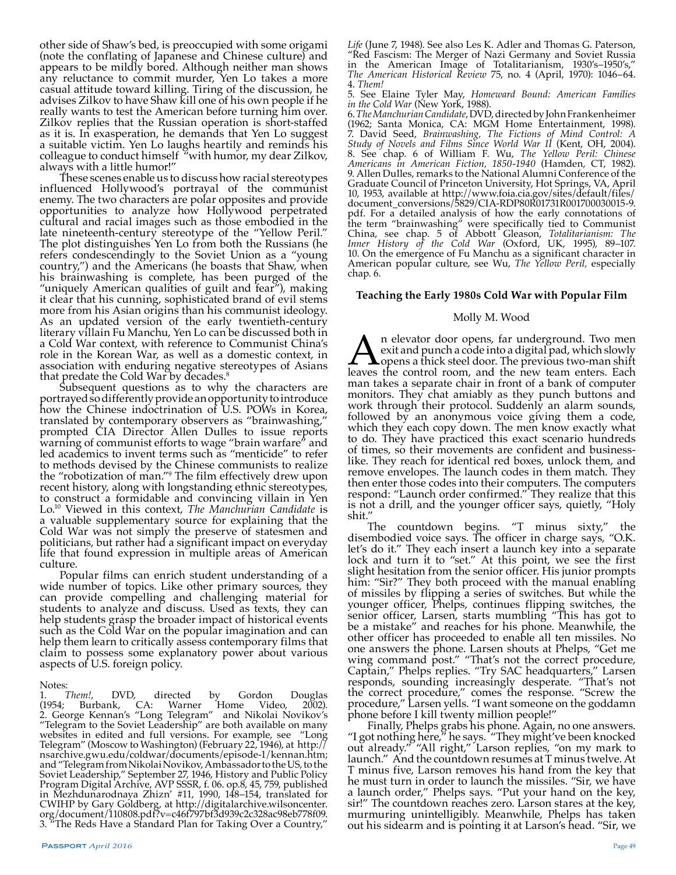other side of Shaw's bed, is preoccupied with some origami (note the conflating of Japanese and Chinese culture) and appears to be mildly bored. Although neither man shows any reluctance to commit murder, Yen Lo takes a more casual attitude toward killing. Tiring of the discussion, he advises Zilkov to have Shaw kill one of his own people if he really wants to test the American before turning him over. Zilkov replies that the Russian operation is short-staffed as it is. In exasperation, he demands that Yen Lo suggest a suitable victim. Yen Lo laughs heartily and reminds his colleague to conduct himself "with humor, my dear Zilkov, always with a little humor!"

These scenes enable us to discuss how racial stereotypes influenced Hollywood's portrayal of the communist enemy. The two characters are polar opposites and provide opportunities to analyze how Hollywood perpetrated cultural and racial images such as those embodied in the late nineteenth-century stereotype of the "Yellow Peril." The plot distinguishes Yen Lo from both the Russians (he refers condescendingly to the Soviet Union as a "young country,") and the Americans (he boasts that Shaw, when his brainwashing is complete, has been purged of the "uniquely American qualities of guilt and fear"), making it clear that his cunning, sophisticated brand of evil stems more from his Asian origins than his communist ideology. As an updated version of the early twentieth-century literary villain Fu Manchu, Yen Lo can be discussed both in a Cold War context, with reference to Communist China's role in the Korean War, as well as a domestic context, in association with enduring negative stereotypes of Asians that predate the Cold War by decades.<sup>8</sup>

Subsequent questions as to why the characters are portrayed so differently provide an opportunity to introduce how the Chinese indoctrination of U.S. POWs in Korea, translated by contemporary observers as "brainwashing," prompted CIA Director Allen Dulles to issue reports warning of communist efforts to wage "brain warfare" and led academics to invent terms such as "menticide" to refer to methods devised by the Chinese communists to realize the "robotization of man."9 The film effectively drew upon recent history, along with longstanding ethnic stereotypes, to construct a formidable and convincing villain in Yen Lo.10 Viewed in this context, *The Manchurian Candidate* is a valuable supplementary source for explaining that the Cold War was not simply the preserve of statesmen and politicians, but rather had a significant impact on everyday life that found expression in multiple areas of American

culture.<br>Popular films can enrich student understanding of a wide number of topics. Like other primary sources, they can provide compelling and challenging material for students to analyze and discuss. Used as texts, they can help students grasp the broader impact of historical events such as the Cold War on the popular imagination and can help them learn to critically assess contemporary films that claim to possess some explanatory power about various aspects of U.S. foreign policy.

Notes:<br>1. Them!, 1. *Them!,* DVD, directed by Gordon Douglas (1954; Burbank, CA: Warner Home Video, 2002). 2. George Kennan's "Long Telegram" and Nikolai Novikov's "Telegram to the Soviet Leadership" are both available on many websites in edited and full versions. For example, see "Long Telegram" (Moscow to Washington) (February 22, 1946), at http:// nsarchive.gwu.edu/coldwar/documents/episode-1/kennan.htm; and "Telegram from Nikolai Novikov, Ambassador to the US, to the Soviet Leadership," September 27, 1946, History and Public Policy Program Digital Archive, AVP SSSR, f. 06. op.8, 45, 759, published in Mezhdunarodnaya Zhizn' #11, 1990, 148–154, translated for CWIHP by Gary Goldberg, at http://digitalarchive.wilsoncenter. org/document/110808.pdf?v=c46f797bf3d939c2c328ac98eb778f09. 3. "The Reds Have a Standard Plan for Taking Over a Country,"

*Life* (June 7, 1948). See also Les K. Adler and Thomas G. Paterson, "Red Fascism: The Merger of Nazi Germany and Soviet Russia in the American Image of Totalitarianism, 1930's–1950's," *The American Historical Review* 75, no. 4 (April, 1970): 1046–64. 4. *Them!*

5. See Elaine Tyler May, *Homeward Bound: American Families in the Cold War* (New York, 1988).

6. *The Manchurian Candidate*, DVD, directed by John Frankenheimer (1962; Santa Monica, CA: MGM Home Entertainment, 1998). 7. David Seed, *Brainwashing, The Fictions of Mind Control: A Study of Novels and Films Since World War II* (Kent, OH, 2004). 8. See chap. 6 of William F. Wu, *The Yellow Peril: Chinese Americans in American Fiction, 1850-1940* (Hamden, CT, 1982). 9. Allen Dulles, remarks to the National Alumni Conference of the Graduate Council of Princeton University, Hot Springs, VA, April 10, 1953, available at http://www.foia.cia.gov/sites/default/files/ document\_conversions/5829/CIA-RDP80R01731R001700030015-9. pdf. For a detailed analysis of how the early connotations of the term "brainwashing" were specifically tied to Communist China, see chap. 5 of Abbott Gleason, *Totalitarianism: The Inner History of the Cold War* (Oxford, UK, 1995), 89–107. 10. On the emergence of Fu Manchu as a significant character in American popular culture, see Wu, *The Yellow Peril,* especially chap. 6.

# **Teaching the Early 1980s Cold War with Popular Film**

# Molly M. Wood

**A** n elevator door opens, far underground. Two men<br>exit and punch a code into a digital pad, which slowly<br>leaves the control room, and the new team enters. Each exit and punch a code into a digital pad, which slowly opens a thick steel door. The previous two-man shift leaves the control room, and the new team enters. Each man takes a separate chair in front of a bank of computer monitors. They chat amiably as they punch buttons and work through their protocol. Suddenly an alarm sounds, followed by an anonymous voice giving them a code, which they each copy down. The men know exactly what to do. They have practiced this exact scenario hundreds of times, so their movements are confident and businesslike. They reach for identical red boxes, unlock them, and remove envelopes. The launch codes in them match. They then enter those codes into their computers. The computers respond: "Launch order confirmed." They realize that this is not a drill, and the younger officer says, quietly, "Holy shit."

The countdown begins. "T minus sixty," the disembodied voice says. The officer in charge says, "O.K. let's do it." They each insert a launch key into a separate lock and turn it to "set." At this point, we see the first slight hesitation from the senior officer. His junior prompts him: "Sir?" They both proceed with the manual enabling of missiles by flipping a series of switches. But while the younger officer, Phelps, continues flipping switches, the senior officer, Larsen, starts mumbling "This has got to be a mistake" and reaches for his phone. Meanwhile, the other officer has proceeded to enable all ten missiles. No one answers the phone. Larsen shouts at Phelps, "Get me wing command post." "That's not the correct procedure, Captain," Phelps replies. "Try SAC headquarters," Larsen responds, sounding increasingly desperate. "That's not the correct procedure," comes the response. "Screw the procedure," Larsen yells. "I want someone on the goddamn

phone before I kill twenty million people!"<br>Finally, Phelps grabs his phone. Again, no one answers.<br>"I got nothing here," he says. "They might've been knocked out already." "All right," Larson replies, "on my mark to<br>launch." And the countdown resumes at T minus twelve. At T minus five, Larson removes his hand from the key that he must turn in order to launch the missiles. "Sir, we have a launch order," Phelps says. "Put your hand on the key, sir!" The countdown reaches zero. Larson stares at the key, murmuring unintelligibly. Meanwhile, Phelps has taken out his sidearm and is pointing it at Larson's head. "Sir, we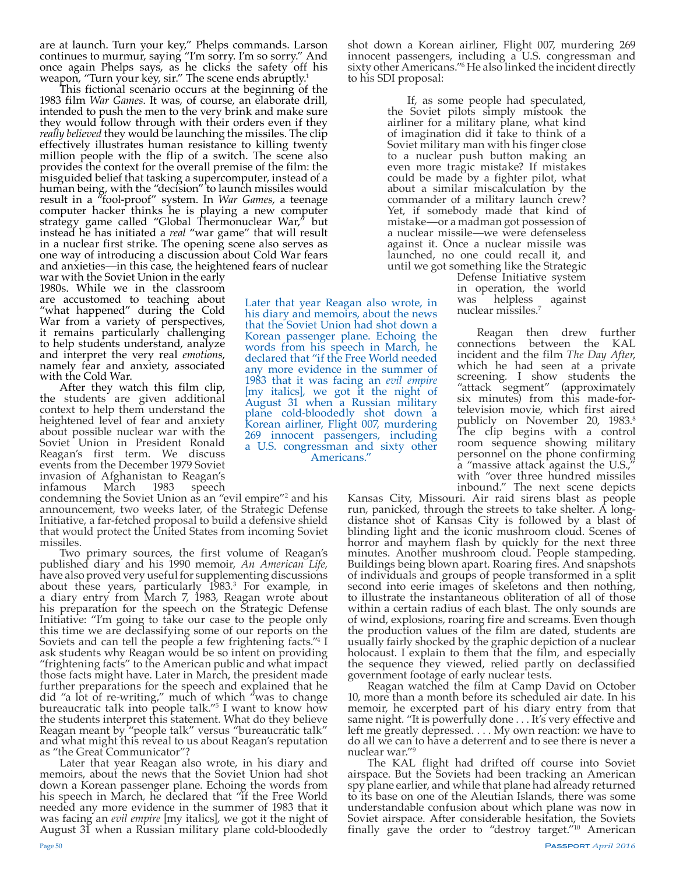are at launch. Turn your key," Phelps commands. Larson continues to murmur, saying "I'm sorry. I'm so sorry." And once again Phelps says, as he clicks the safety off his weapon, "Turn your key, sir." The scene ends abruptly.<sup>1</sup>

This fictional scenario occurs at the beginning of the 1983 film *War Games*. It was, of course, an elaborate drill, intended to push the men to the very brink and make sure they would follow through with their orders even if they *really believed* they would be launching the missiles. The clip effectively illustrates human resistance to killing twenty million people with the flip of a switch. The scene also provides the context for the overall premise of the film: the misguided belief that tasking a supercomputer, instead of a human being, with the "decision" to launch missiles would result in a "fool-proof" system. In *War Games*, a teenage computer hacker thinks he is playing a new computer strategy game called "Global Thermonuclear War," but instead he has initiated a *real* "war game" that will result in a nuclear first strike. The opening scene also serves as one way of introducing a discussion about Cold War fears and anxieties—in this case, the heightened fears of nuclear

war with the Soviet Union in the early 1980s. While we in the classroom are accustomed to teaching about "what happened" during the Cold War from a variety of perspectives, it remains particularly challenging to help students understand, analyze and interpret the very real *emotions*, namely fear and anxiety, associated with the Cold War.

After they watch this film clip, the students are given additional context to help them understand the heightened level of fear and anxiety about possible nuclear war with the Soviet Union in President Ronald Reagan's first term. We discuss events from the December 1979 Soviet invasion of Afghanistan to Reagan's infamous

condemning the Soviet Union as an "evil empire"2 and his announcement, two weeks later, of the Strategic Defense Initiative, a far-fetched proposal to build a defensive shield that would protect the United States from incoming Soviet missiles.<br>Two primary sources, the first volume of Reagan's

Two primary sources, the first volume of Reagan's published diary and his 1990 memoir, *An American Life,* have also proved very useful for supplementing discussions about these years, particularly 1983.<sup>3</sup> For example, in<br>a diary entry from March 7, 1983, Reagan wrote about his preparation for the speech on the Strategic Defense Initiative: "I'm going to take our case to the people only this time we are declassifying some of our reports on the Soviets and can tell the people a few frightening facts."4 I ask students why Reagan would be so intent on providing "frightening facts" to the American public and what impact those facts might have. Later in March, the president made further preparations for the speech and explained that he did "a lot of re-writing," much of which "was to change bureaucratic talk into people talk."5 I want to know how the students interpret this statement. What do they believe Reagan meant by "people talk" versus "bureaucratic talk" and what might this reveal to us about Reagan's reputation as "the Great Communicator"?

Later that year Reagan also wrote, in his diary and memoirs, about the news that the Soviet Union had shot down a Korean passenger plane. Echoing the words from his speech in March, he declared that "if the Free World needed any more evidence in the summer of 1983 that it was facing an *evil empire* [my italics], we got it the night of August 31 when a Russian military plane cold-bloodedly shot down a Korean airliner, Flight 007, murdering 269 innocent passengers, including a U.S. congressman and sixty other Americans."6 He also linked the incident directly to his SDI proposal:

> If, as some people had speculated, the Soviet pilots simply mistook the airliner for a military plane, what kind of imagination did it take to think of a Soviet military man with his finger close to a nuclear push button making an even more tragic mistake? If mistakes could be made by a fighter pilot, what about a similar miscalculation by the commander of a military launch crew? Yet, if somebody made that kind of mistake—or a madman got possession of a nuclear missile—we were defenseless against it. Once a nuclear missile was launched, no one could recall it, and until we got something like the Strategic

Later that year Reagan also wrote, in his diary and memoirs, about the news that the Soviet Union had shot down a Korean passenger plane. Echoing the words from his speech in March, he declared that "if the Free World needed any more evidence in the summer of 1983 that it was facing an *evil empire* [my italics], we got it the night of August 31 when a Russian military plane cold-bloodedly shot down a Korean airliner, Flight 007, murdering 269 innocent passengers, including a U.S. congressman and sixty other Americans."

Defense Initiative system in operation, the world<br>was helpless against helpless against nuclear missiles.7

Reagan then drew further connections between the KAL incident and the film *The Day After*, which he had seen at a private screening. I show students the "attack segment" (approximately six minutes) from this made-fortelevision movie, which first aired publicly on November 20, 1983.<sup>8</sup> The clip begins with a control room sequence showing military personnel on the phone confirming a "massive attack against the U.S., with "over three hundred missiles inbound." The next scene depicts

Kansas City, Missouri. Air raid sirens blast as people run, panicked, through the streets to take shelter. A longdistance shot of Kansas City is followed by a blast of blinding light and the iconic mushroom cloud. Scenes of horror and mayhem flash by quickly for the next three minutes. Another mushroom cloud. People stampeding. Buildings being blown apart. Roaring fires. And snapshots of individuals and groups of people transformed in a split second into eerie images of skeletons and then nothing, to illustrate the instantaneous obliteration of all of those within a certain radius of each blast. The only sounds are of wind, explosions, roaring fire and screams. Even though the production values of the film are dated, students are usually fairly shocked by the graphic depiction of a nuclear holocaust. I explain to them that the film, and especially the sequence they viewed, relied partly on declassified government footage of early nuclear tests.

Reagan watched the film at Camp David on October 10, more than a month before its scheduled air date. In his memoir, he excerpted part of his diary entry from that same night. "It is powerfully done . . . It's very effective and left me greatly depressed. . . . My own reaction: we have to do all we can to have a deterrent and to see there is never a nuclear war."

 The KAL flight had drifted off course into Soviet airspace. But the Soviets had been tracking an American spy plane earlier, and while that plane had already returned to its base on one of the Aleutian Islands, there was some understandable confusion about which plane was now in Soviet airspace. After considerable hesitation, the Soviets finally gave the order to "destroy target."<sup>10</sup> American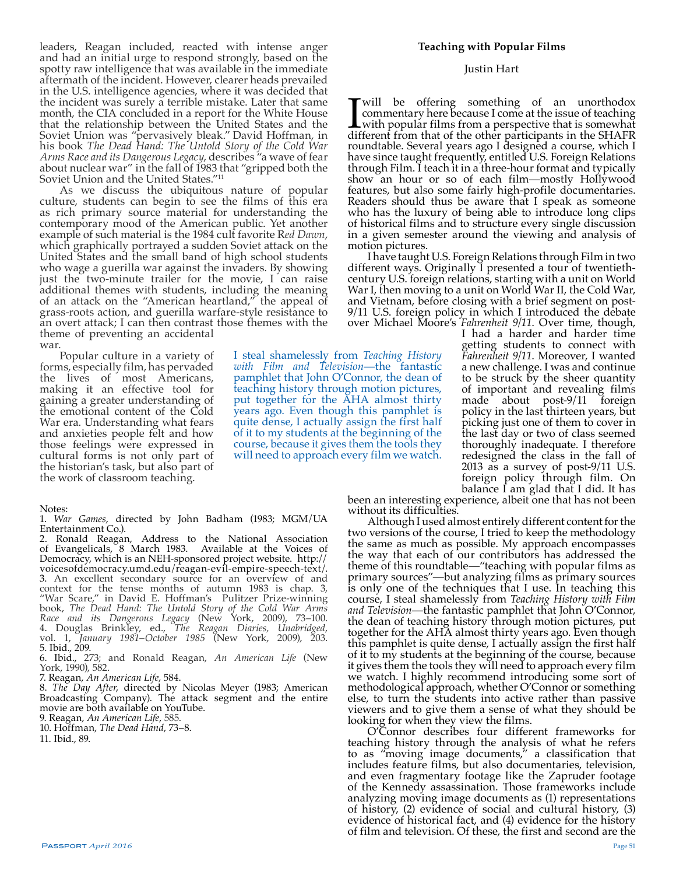leaders, Reagan included, reacted with intense anger and had an initial urge to respond strongly, based on the spotty raw intelligence that was available in the immediate aftermath of the incident. However, clearer heads prevailed in the U.S. intelligence agencies, where it was decided that the incident was surely a terrible mistake. Later that same month, the CIA concluded in a report for the White House that the relationship between the United States and the Soviet Union was "pervasively bleak." David Hoffman, in his book *The Dead Hand: The Untold Story of the Cold War Arms Race and its Dangerous Legacy*, describes "a wave of fear about nuclear war" in the fall of 1983 that "gripped both the Soviet Union and the United States."11

As we discuss the ubiquitous nature of popular culture, students can begin to see the films of this era as rich primary source material for understanding the contemporary mood of the American public. Yet another example of such material is the 1984 cult favorite R*ed Dawn*, which graphically portrayed a sudden Soviet attack on the United States and the small band of high school students who wage a guerilla war against the invaders. By showing just the two-minute trailer for the movie, I can raise additional themes with students, including the meaning of an attack on the "American heartland," the appeal of grass-roots action, and guerilla warfare-style resistance to an overt attack; I can then contrast those themes with the theme of preventing an accidental war.

Popular culture in a variety of forms, especially film, has pervaded the lives of most Americans, making it an effective tool for gaining a greater understanding of the emotional content of the Cold War era. Understanding what fears and anxieties people felt and how those feelings were expressed in cultural forms is not only part of the historian's task, but also part of the work of classroom teaching.

#### Notes:

1. *War Games*, directed by John Badham (1983; MGM/UA Entertainment Co.).

2. Ronald Reagan, Address to the National Association of Evangelicals, 8 March 1983. Available at the Voices of Democracy, which is an NEH-sponsored project website. http:// voicesofdemocracy.umd.edu/reagan-evil-empire-speech-text/. 3. An excellent secondary source for an overview of and context for the tense months of autumn 1983 is chap. 3, "War Scare," in David E. Hoffman's Pulitzer Prize-winning book, *The Dead Hand: The Untold Story of the Cold War Arms Race and its Dangerous Legacy* (New York, 2009), 73–100. 4. Douglas Brinkley, ed., *The Reagan Diaries, Unabridged*, vol. 1, *January 1981–October 1985* (New York, 2009), 203. 5. Ibid., 209.

6. Ibid., 273; and Ronald Reagan, *An American Life* (New York, 1990), 582.

7. Reagan, *An American Life*, 584.

8. *The Day After*, directed by Nicolas Meyer (1983; American Broadcasting Company). The attack segment and the entire movie are both available on YouTube.

9. Reagan, *An American Life*, 585.

10. Hoffman, *The Dead Hand*, 73–8.

11. Ibid., 89.

# **Teaching with Popular Films**

#### Justin Hart

I will be offering something of an unorthodox commentary here because I come at the issue of teaching with popular films from a perspective that is somewhat different from that of the other participants in the SHAFR roundtable. Several years ago I designed a course, which I have since taught frequently, entitled U.S. Foreign Relations through Film. I teach it in a three-hour format and typically show an hour or so of each film—mostly Hollywood features, but also some fairly high-profile documentaries. Readers should thus be aware that I speak as someone who has the luxury of being able to introduce long clips of historical films and to structure every single discussion in a given semester around the viewing and analysis of motion pictures.

I have taught U.S. Foreign Relations through Film in two different ways. Originally I presented a tour of twentiethcentury U.S. foreign relations, starting with a unit on World War I, then moving to a unit on World War II, the Cold War, and Vietnam, before closing with a brief segment on post-9/11 U.S. foreign policy in which I introduced the debate over Michael Moore's *Fahrenheit 9/11*. Over time, though,

I had a harder and harder time getting students to connect with *Fahrenheit 9/11*. Moreover, I wanted a new challenge. I was and continue to be struck by the sheer quantity of important and revealing films<br>made about post-9/11 foreign about post-9/11 foreign policy in the last thirteen years, but picking just one of them to cover in the last day or two of class seemed thoroughly inadequate. I therefore redesigned the class in the fall of 2013 as a survey of post-9/11 U.S. foreign policy through film. On balance I am glad that I did. It has

been an interesting experience, albeit one that has not been without its difficulties.<br>Although I used almost entirely different content for the

two versions of the course, I tried to keep the methodology the same as much as possible. My approach encompasses the way that each of our contributors has addressed the theme of this roundtable—"teaching with popular films as primary sources"—but analyzing films as primary sources is only one of the techniques that I use. In teaching this course, I steal shamelessly from *Teaching History with Film and Television*—the fantastic pamphlet that John O'Connor, the dean of teaching history through motion pictures, put together for the AHA almost thirty years ago. Even though this pamphlet is quite dense, I actually assign the first half of it to my students at the beginning of the course, because it gives them the tools they will need to approach every film we watch. I highly recommend introducing some sort of methodological approach, whether O'Connor or something else, to turn the students into active rather than passive viewers and to give them a sense of what they should be looking for when they view the films.

O'Connor describes four different frameworks for teaching history through the analysis of what he refers to as "moving image documents," a classification that includes feature films, but also documentaries, television, and even fragmentary footage like the Zapruder footage of the Kennedy assassination. Those frameworks include analyzing moving image documents as (1) representations of history, (2) evidence of social and cultural history, (3) evidence of historical fact, and (4) evidence for the history of film and television. Of these, the first and second are the

I steal shamelessly from *Teaching History with Film and Television*—the fantastic pamphlet that John O'Connor, the dean of teaching history through motion pictures, put together for the AHA almost thirty years ago. Even though this pamphlet is quite dense, I actually assign the first half of it to my students at the beginning of the course, because it gives them the tools they will need to approach every film we watch.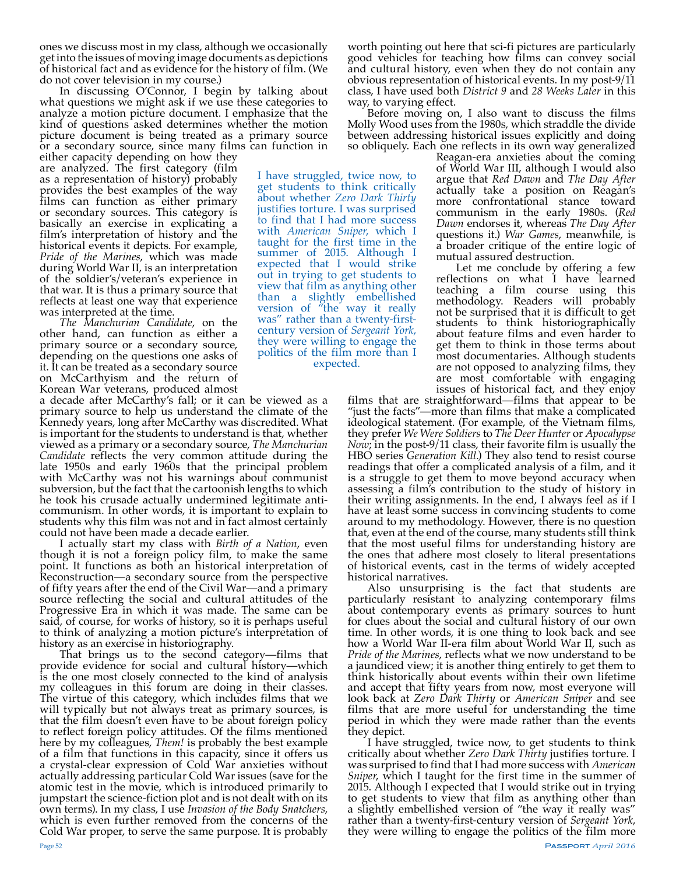ones we discuss most in my class, although we occasionally get into the issues of moving image documents as depictions of historical fact and as evidence for the history of film. (We do not cover television in my course.)

In discussing O'Connor, I begin by talking about what questions we might ask if we use these categories to analyze a motion picture document. I emphasize that the kind of questions asked determines whether the motion picture document is being treated as a primary source or a secondary source, since many films can function in

either capacity depending on how they are analyzed. The first category (film as a representation of history) probably provides the best examples of the way films can function as either primary or secondary sources. This category is basically an exercise in explicating a film's interpretation of history and the historical events it depicts. For example, *Pride of the Marines*, which was made during World War II, is an interpretation of the soldier's/veteran's experience in that war. It is thus a primary source that reflects at least one way that experience was interpreted at the time.

*The Manchurian Candidate*, on the other hand, can function as either a primary source or a secondary source, depending on the questions one asks of it. It can be treated as a secondary source on McCarthyism and the return of Korean War veterans, produced almost

a decade after McCarthy's fall; or it can be viewed as a primary source to help us understand the climate of the Kennedy years, long after McCarthy was discredited. What is important for the students to understand is that, whether viewed as a primary or a secondary source, *The Manchurian Candidate* reflects the very common attitude during the late 1950s and early 1960s that the principal problem with McCarthy was not his warnings about communist subversion, but the fact that the cartoonish lengths to which he took his crusade actually undermined legitimate anticommunism. In other words, it is important to explain to students why this film was not and in fact almost certainly could not have been made a decade earlier.

I actually start my class with *Birth of a Nation*, even though it is not a foreign policy film, to make the same point. It functions as both an historical interpretation of Reconstruction—a secondary source from the perspective of fifty years after the end of the Civil War—and a primary source reflecting the social and cultural attitudes of the Progressive Era in which it was made. The same can be said, of course, for works of history, so it is perhaps useful to think of analyzing a motion picture's interpretation of

That brings us to the second category—films that provide evidence for social and cultural history—which is the one most closely connected to the kind of analysis my colleagues in this forum are doing in their classes. The virtue of this category, which includes films that we will typically but not always treat as primary sources, is that the film doesn't even have to be about foreign policy to reflect foreign policy attitudes. Of the films mentioned here by my colleagues, *Them!* is probably the best example of a film that functions in this capacity, since it offers us a crystal-clear expression of Cold War anxieties without actually addressing particular Cold War issues (save for the atomic test in the movie, which is introduced primarily to jumpstart the science-fiction plot and is not dealt with on its own terms). In my class, I use *Invasion of the Body Snatchers*, which is even further removed from the concerns of the Cold War proper, to serve the same purpose. It is probably

worth pointing out here that sci-fi pictures are particularly good vehicles for teaching how films can convey social and cultural history, even when they do not contain any obvious representation of historical events. In my post-9/11 class, I have used both *District 9* and *28 Weeks Later* in this way, to varying effect.

Before moving on, I also want to discuss the films Molly Wood uses from the 1980s, which straddle the divide between addressing historical issues explicitly and doing so obliquely. Each one reflects in its own way generalized

Reagan-era anxieties about the coming of World War III, although I would also argue that *Red Dawn* and *The Day After* actually take a position on Reagan's more confrontational stance toward communism in the early 1980s. (*Red Dawn* endorses it, whereas *The Day After* questions it.) *War Games*, meanwhile, is a broader critique of the entire logic of mutual assured destruction.

Let me conclude by offering a few reflections on what I have learned teaching a film course using this methodology. Readers will probably not be surprised that it is difficult to get students to think historiographically about feature films and even harder to get them to think in those terms about most documentaries. Although students are not opposed to analyzing films, they are most comfortable with engaging issues of historical fact, and they enjoy

films that are straightforward—films that appear to be "just the facts"—more than films that make a complicated ideological statement. (For example, of the Vietnam films, they prefer *We Were Soldiers* to *The Deer Hunter* or *Apocalypse Now*; in the post-9/11 class, their favorite film is usually the HBO series *Generation Kill*.) They also tend to resist course readings that offer a complicated analysis of a film, and it is a struggle to get them to move beyond accuracy when assessing a film's contribution to the study of history in their writing assignments. In the end, I always feel as if I have at least some success in convincing students to come around to my methodology. However, there is no question that, even at the end of the course, many students still think that the most useful films for understanding history are the ones that adhere most closely to literal presentations of historical events, cast in the terms of widely accepted

historical narratives.<br>Also unsurprising is the fact that students are particularly resistant to analyzing contemporary films about contemporary events as primary sources to hunt for clues about the social and cultural history of our own time. In other words, it is one thing to look back and see how a World War II-era film about World War II, such as *Pride of the Marines*, reflects what we now understand to be a jaundiced view; it is another thing entirely to get them to think historically about events within their own lifetime and accept that fifty years from now, most everyone will look back at *Zero Dark Thirty* or *American Sniper* and see films that are more useful for understanding the time period in which they were made rather than the events they depict.

I have struggled, twice now, to get students to think critically about whether *Zero Dark Thirty* justifies torture. I was surprised to find that I had more success with *American Sniper*, which I taught for the first time in the summer of 2015. Although I expected that I would strike out in trying to get students to view that film as anything other than a slightly embellished version of "the way it really was" rather than a twenty-first-century version of *Sergeant York*, they were willing to engage the politics of the film more

I have struggled, twice now, to get students to think critically about whether *Zero Dark Thirty* justifies torture. I was surprised to find that I had more success with *American Sniper*, which I taught for the first time in the summer of 2015. Although I expected that I would strike out in trying to get students to view that film as anything other than a slightly embellished version of "the way it really was" rather than a twenty-firstcentury version of *Sergeant York*, they were willing to engage the politics of the film more than I expected.